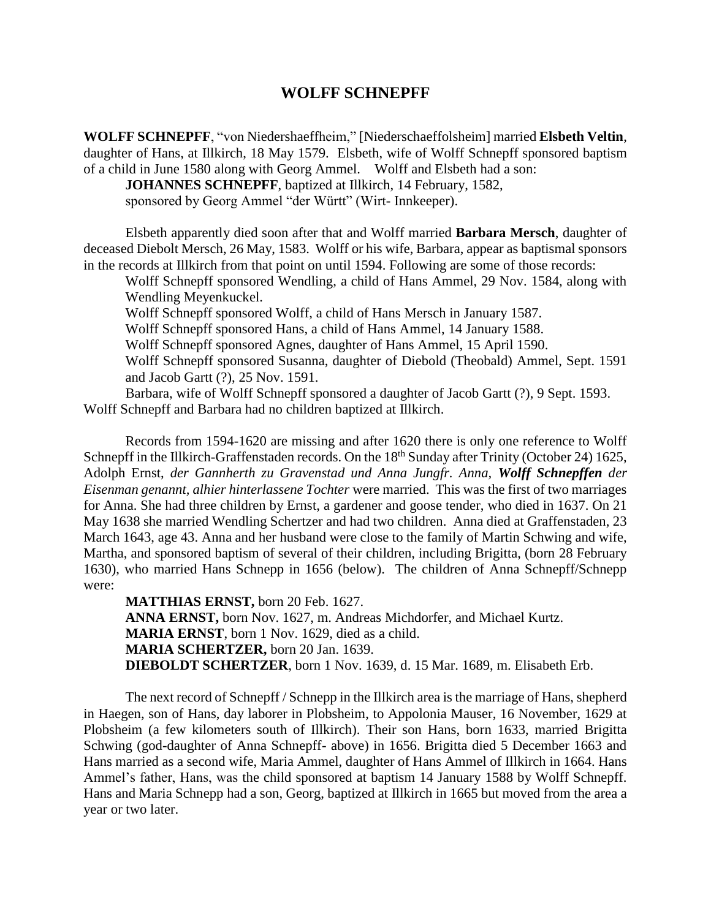## **WOLFF SCHNEPFF**

**WOLFF SCHNEPFF**, "von Niedershaeffheim," [Niederschaeffolsheim] married **Elsbeth Veltin**, daughter of Hans, at Illkirch, 18 May 1579. Elsbeth, wife of Wolff Schnepff sponsored baptism of a child in June 1580 along with Georg Ammel. Wolff and Elsbeth had a son:

**JOHANNES SCHNEPFF**, baptized at Illkirch, 14 February, 1582, sponsored by Georg Ammel "der Württ" (Wirt- Innkeeper).

Elsbeth apparently died soon after that and Wolff married **Barbara Mersch**, daughter of deceased Diebolt Mersch, 26 May, 1583. Wolff or his wife, Barbara, appear as baptismal sponsors in the records at Illkirch from that point on until 1594. Following are some of those records:

Wolff Schnepff sponsored Wendling, a child of Hans Ammel, 29 Nov. 1584, along with Wendling Meyenkuckel.

Wolff Schnepff sponsored Wolff, a child of Hans Mersch in January 1587.

Wolff Schnepff sponsored Hans, a child of Hans Ammel, 14 January 1588.

Wolff Schnepff sponsored Agnes, daughter of Hans Ammel, 15 April 1590.

Wolff Schnepff sponsored Susanna, daughter of Diebold (Theobald) Ammel, Sept. 1591 and Jacob Gartt (?), 25 Nov. 1591.

Barbara, wife of Wolff Schnepff sponsored a daughter of Jacob Gartt (?), 9 Sept. 1593. Wolff Schnepff and Barbara had no children baptized at Illkirch.

Records from 1594-1620 are missing and after 1620 there is only one reference to Wolff Schnepff in the Illkirch-Graffenstaden records. On the 18<sup>th</sup> Sunday after Trinity (October 24) 1625, Adolph Ernst, *der Gannherth zu Gravenstad und Anna Jungfr. Anna, Wolff Schnepffen der Eisenman genannt, alhier hinterlassene Tochter* were married. This was the first of two marriages for Anna. She had three children by Ernst, a gardener and goose tender, who died in 1637. On 21 May 1638 she married Wendling Schertzer and had two children. Anna died at Graffenstaden, 23 March 1643, age 43. Anna and her husband were close to the family of Martin Schwing and wife, Martha, and sponsored baptism of several of their children, including Brigitta, (born 28 February 1630), who married Hans Schnepp in 1656 (below). The children of Anna Schnepff/Schnepp were:

**MATTHIAS ERNST,** born 20 Feb. 1627. **ANNA ERNST,** born Nov. 1627, m. Andreas Michdorfer, and Michael Kurtz. **MARIA ERNST**, born 1 Nov. 1629, died as a child. **MARIA SCHERTZER,** born 20 Jan. 1639. **DIEBOLDT SCHERTZER**, born 1 Nov. 1639, d. 15 Mar. 1689, m. Elisabeth Erb.

The next record of Schnepff / Schnepp in the Illkirch area is the marriage of Hans, shepherd in Haegen, son of Hans, day laborer in Plobsheim, to Appolonia Mauser, 16 November, 1629 at Plobsheim (a few kilometers south of Illkirch). Their son Hans, born 1633, married Brigitta Schwing (god-daughter of Anna Schnepff- above) in 1656. Brigitta died 5 December 1663 and Hans married as a second wife, Maria Ammel, daughter of Hans Ammel of Illkirch in 1664. Hans Ammel's father, Hans, was the child sponsored at baptism 14 January 1588 by Wolff Schnepff. Hans and Maria Schnepp had a son, Georg, baptized at Illkirch in 1665 but moved from the area a year or two later.